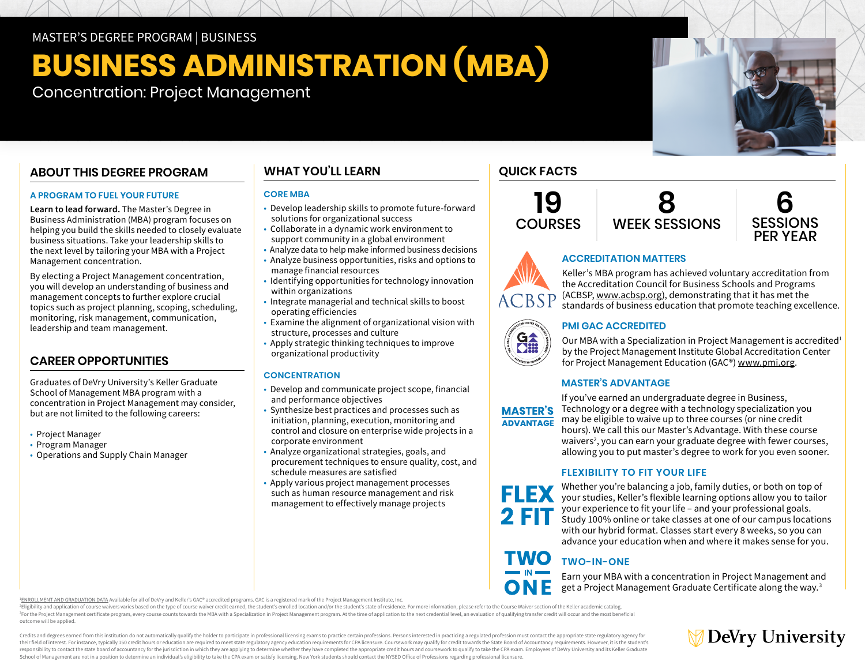MASTER'S DEGREE PROGRAM | BUSINESS

# **BUSINESS ADMINISTRATION (MBA)**

Concentration: Project Management

# **ABOUT THIS DEGREE PROGRAM**

## **A PROGRAM TO FUEL YOUR FUTURE**

**Learn to lead forward.** The Master's Degree in Business Administration (MBA) program focuses on helping you build the skills needed to closely evaluate business situations. Take your leadership skills to the next level by tailoring your MBA with a Project Management concentration.

By electing a Project Management concentration, you will develop an understanding of business and management concepts to further explore crucial topics such as project planning, scoping, scheduling, monitoring, risk management, communication, leadership and team management.

## **CAREER OPPORTUNITIES**

Graduates of DeVry University's Keller Graduate School of Management MBA program with a concentration in Project Management may consider, but are not limited to the following careers:

- Project Manager
- Program Manager
- Operations and Supply Chain Manager

# **WHAT YOU'LL LEARN**

#### **CORE MBA**

- Develop leadership skills to promote future-forward solutions for organizational success
- Collaborate in a dynamic work environment to support community in a global environment
- Analyze data to help make informed business decisions
- Analyze business opportunities, risks and options to manage financial resources
- Identifying opportunities for technology innovation within organizations
- Integrate managerial and technical skills to boost operating efficiencies
- Examine the alignment of organizational vision with structure, processes and culture
- Apply strategic thinking techniques to improve organizational productivity

## **CONCENTRATION**

- Develop and communicate project scope, financial and performance objectives
- Synthesize best practices and processes such as initiation, planning, execution, monitoring and control and closure on enterprise wide projects in a corporate environment
- Analyze organizational strategies, goals, and procurement techniques to ensure quality, cost, and schedule measures are satisfied
- Apply various project management processes such as human resource management and risk management to effectively manage projects

# **QUICK FACTS**

**FLEX** 





## **ACCREDITATION MATTERS**

Keller's MBA program has achieved voluntary accreditation from the Accreditation Council for Business Schools and Programs (ACBSP, [www.acbsp.org](https://www.acbsp.org)), demonstrating that it has met the **ACBSP** standards of business education that promote teaching excellence.

## **PMI GAC ACCREDITED**

Our MBA with a Specialization in Project Management is accredited<sup>1</sup> by the Project Management Institute Global Accreditation Center for Project Management Education (GAC®) [www.pmi.org.](https://www.pmi.org)

## **MASTER'S ADVANTAGE**

If you've earned an undergraduate degree in Business, Technology or a degree with a technology specialization you **MASTER'S** may be eligible to waive up to three courses (or nine credit **ADVANTAGE** hours). We call this our Master's Advantage. With these course waivers<sup>2</sup>, you can earn your graduate degree with fewer courses, allowing you to put master's degree to work for you even sooner.

## **FLEXIBILITY TO FIT YOUR LIFE**

Whether you're balancing a job, family duties, or both on top of your studies, Keller's flexible learning options allow you to tailor your experience to fit your life – and your professional goals. 2 FIT Study 100% online or take classes at one of our campus locations with our hybrid format. Classes start every 8 weeks, so you can advance your education when and where it makes sense for you.

#### **TWO TWO-IN-ONE**

Earn your MBA with a concentration in Project Management and get a Project Management Graduate Certificate along the way.3

1 [ENROLLMENT AND GRADUATION DATA](https://www.devry.edu/d/PMI-GAC-data.pdf) Available for all of DeVry and Keller's GAC® accredited programs. GAC is a registered mark of the Project Management Institute, Inc.

<sup>2</sup>Eligibility and application of course waivers varies based on the type of course waiver credit earned, the student's enrolled location and/or the student's state of residence. For more information, please refer to the C

<sup>3</sup>For the Project Management certificate program, every course counts towards the MBA with a Specialization in Project Management program. At the time of application to the next credential level, an evaluation of qualifyi outcome will be applied.

Credits and degrees earned from this institution do not automatically qualify the holder to participate in professional licensing exams to practice certain professions. Persons interested in practicing a regulated professi their field of interest. For instance, typically 150 credit hours or education are required to meet state regulatory agency education requirements for CPA licensure. Coursework may qualify for credit towards the State Boar responsibility to contact the state board of accountancy for the jurisdiction in which they are applying to determine whether they have completed the appropriate credit hours and coursework to qualify to take the CPA exam. School of Management are not in a position to determine an individual's eligibility to take the CPA exam or satisfy licensing. New York students should contact the NYSED Office of Professions regarding professional licensu